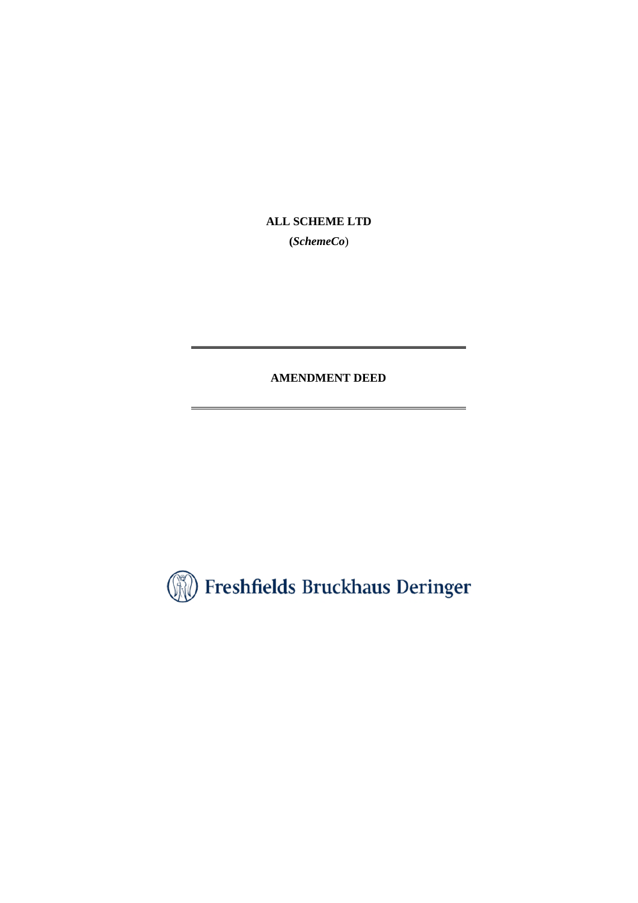**ALL SCHEME LTD** 

**(***SchemeCo*)

**AMENDMENT DEED** 

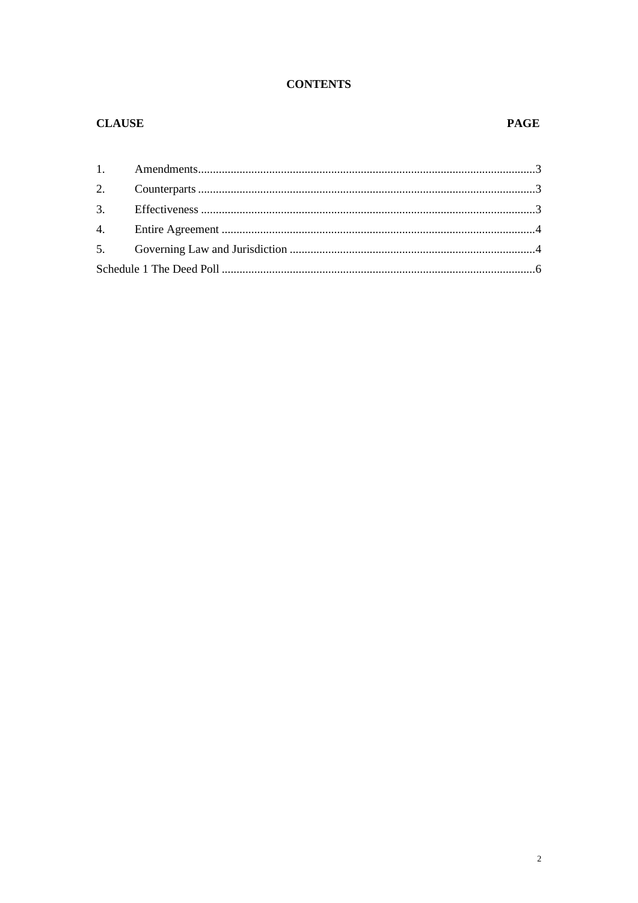# **CONTENTS**

# **CLAUSE**

## **PAGE**

| 2. |  |  |
|----|--|--|
|    |  |  |
| 4. |  |  |
|    |  |  |
|    |  |  |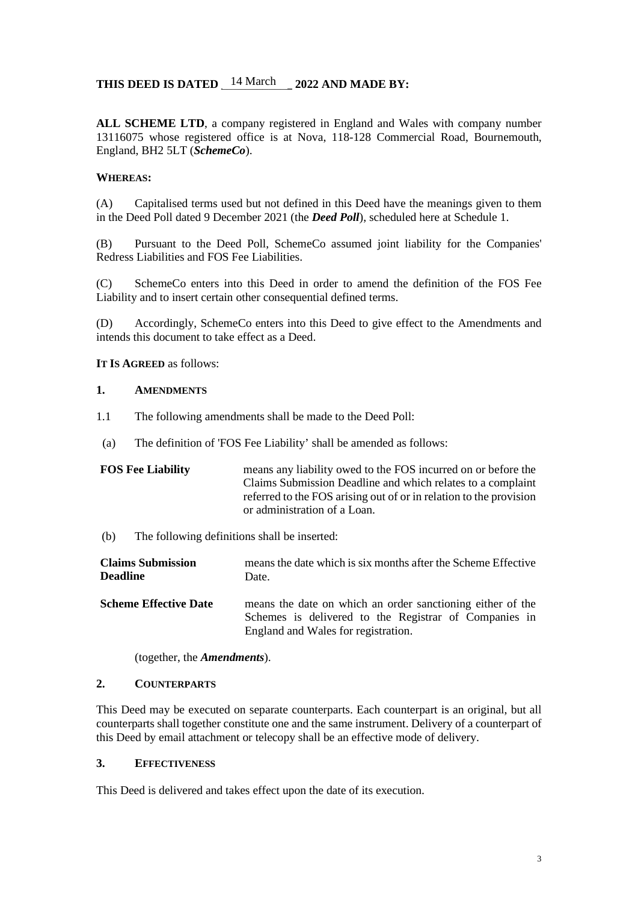# THIS DEED IS DATED  $14$  March 2022 AND MADE BY:

**ALL SCHEME LTD**, a company registered in England and Wales with company number 13116075 whose registered office is at Nova, 118-128 Commercial Road, Bournemouth, England, BH2 5LT (*SchemeCo*).

### **WHEREAS:**

(A) Capitalised terms used but not defined in this Deed have the meanings given to them in the Deed Poll dated 9 December 2021 (the *Deed Poll*), scheduled here at Schedule 1.

(B) Pursuant to the Deed Poll, SchemeCo assumed joint liability for the Companies' Redress Liabilities and FOS Fee Liabilities.

(C) SchemeCo enters into this Deed in order to amend the definition of the FOS Fee Liability and to insert certain other consequential defined terms.

(D) Accordingly, SchemeCo enters into this Deed to give effect to the Amendments and intends this document to take effect as a Deed.

**IT IS AGREED** as follows:

#### **1. AMENDMENTS**

- 1.1 The following amendments shall be made to the Deed Poll:
- (a) The definition of 'FOS Fee Liability' shall be amended as follows:

### **FOS Fee Liability** means any liability owed to the FOS incurred on or before the Claims Submission Deadline and which relates to a complaint referred to the FOS arising out of or in relation to the provision or administration of a Loan.

(b) The following definitions shall be inserted:

| <b>Claims Submission</b>     | means the date which is six months after the Scheme Effective                                                                                              |
|------------------------------|------------------------------------------------------------------------------------------------------------------------------------------------------------|
| <b>Deadline</b>              | Date.                                                                                                                                                      |
| <b>Scheme Effective Date</b> | means the date on which an order sanctioning either of the<br>Schemes is delivered to the Registrar of Companies in<br>England and Wales for registration. |

(together, the *Amendments*).

### **2. COUNTERPARTS**

This Deed may be executed on separate counterparts. Each counterpart is an original, but all counterparts shall together constitute one and the same instrument. Delivery of a counterpart of this Deed by email attachment or telecopy shall be an effective mode of delivery.

### **3. EFFECTIVENESS**

This Deed is delivered and takes effect upon the date of its execution.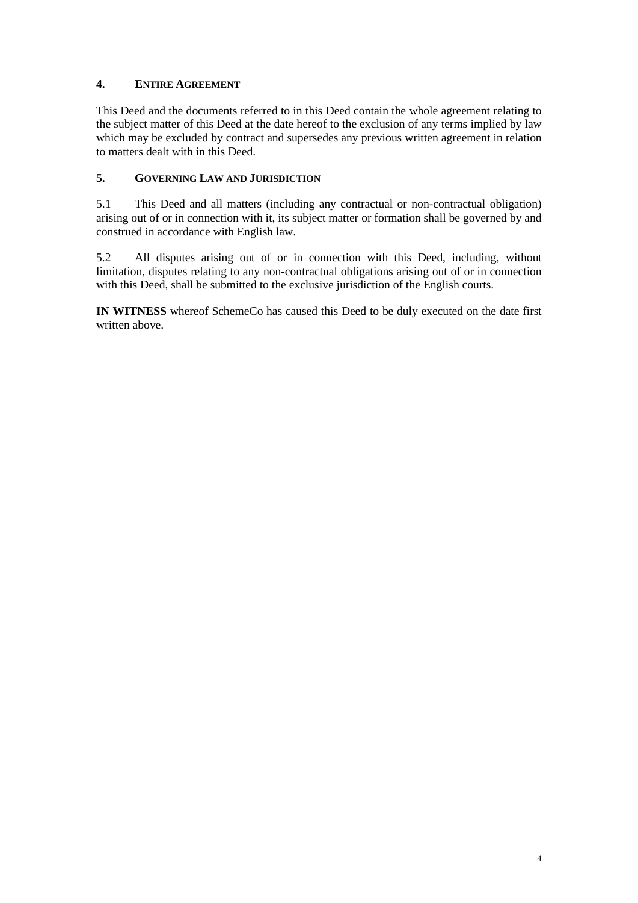## **4. ENTIRE AGREEMENT**

This Deed and the documents referred to in this Deed contain the whole agreement relating to the subject matter of this Deed at the date hereof to the exclusion of any terms implied by law which may be excluded by contract and supersedes any previous written agreement in relation to matters dealt with in this Deed.

## **5. GOVERNING LAW AND JURISDICTION**

5.1 This Deed and all matters (including any contractual or non-contractual obligation) arising out of or in connection with it, its subject matter or formation shall be governed by and construed in accordance with English law.

5.2 All disputes arising out of or in connection with this Deed, including, without limitation, disputes relating to any non-contractual obligations arising out of or in connection with this Deed, shall be submitted to the exclusive jurisdiction of the English courts.

**IN WITNESS** whereof SchemeCo has caused this Deed to be duly executed on the date first written above.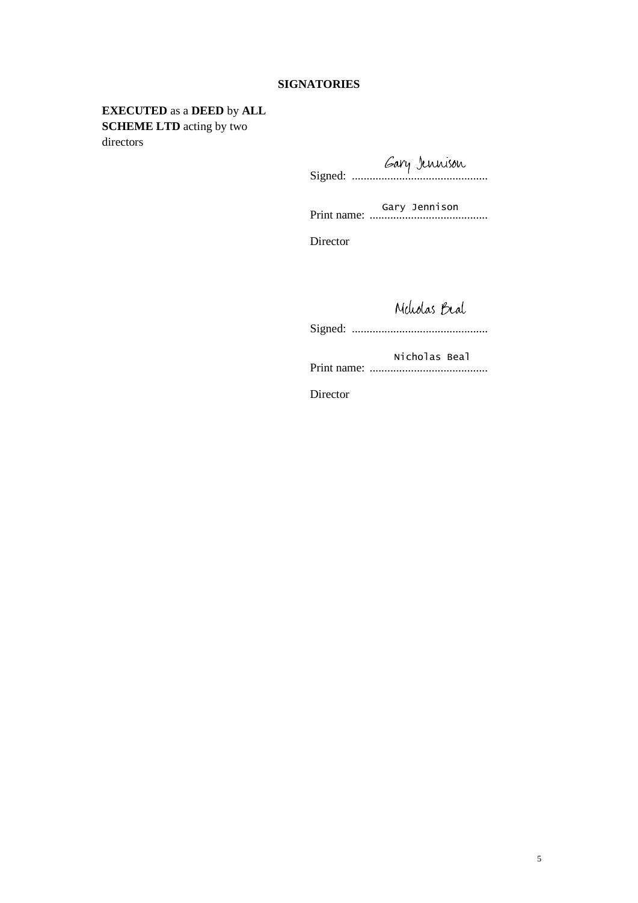#### **SIGNATORIES**

# **EXECUTED** as a **DEED** by **ALL SCHEME LTD** acting by two

directors

Signed: ..............................................

Print name: ........................................ Gary Jennison

Director

Meholas Beal

Signed: ..............................................

Print name: ........................................ Nicholas Beal

Director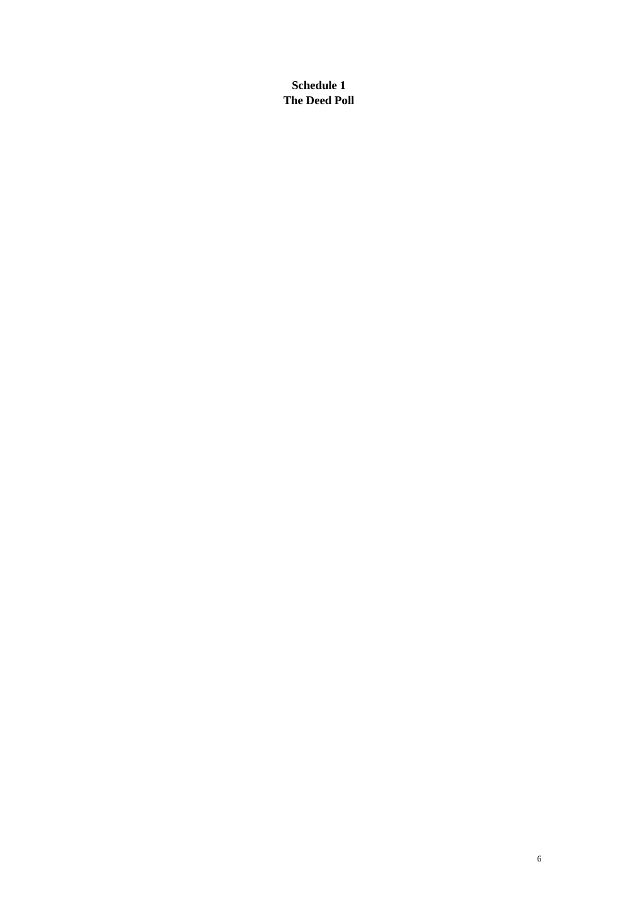**Schedule 1 The Deed Poll**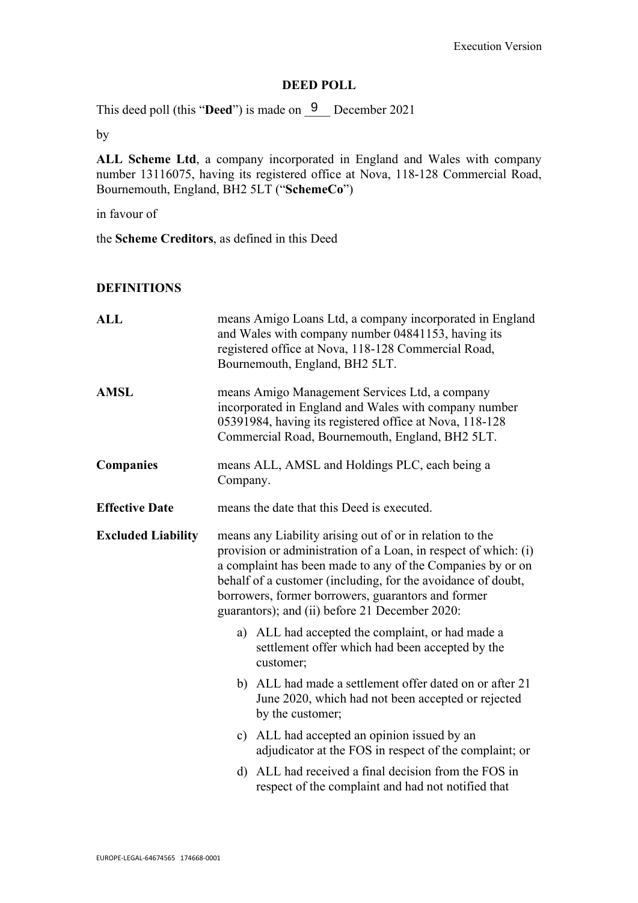## DEED POLL

This deed poll (this "Deed") is made on  $\frac{9}{5}$  December 2021

by

ALL Scheme Ltd, a company incorporated in England and Wales with company number 13116075, having its registered office at Nova, 118-128 Commercial Road, Bournemouth, England, BH2 5LT ("SchemeCo")

in favour of

the Scheme Creditors, as defined in this Deed

### **DEFINITIONS**

| <b>ALL</b>                                                                                                                                                                                                                                                                                                                                                                                     | means Amigo Loans Ltd, a company incorporated in England<br>and Wales with company number 04841153, having its<br>registered office at Nova, 118-128 Commercial Road,<br>Bournemouth, England, BH2 5LT.               |  |
|------------------------------------------------------------------------------------------------------------------------------------------------------------------------------------------------------------------------------------------------------------------------------------------------------------------------------------------------------------------------------------------------|-----------------------------------------------------------------------------------------------------------------------------------------------------------------------------------------------------------------------|--|
| <b>AMSL</b>                                                                                                                                                                                                                                                                                                                                                                                    | means Amigo Management Services Ltd, a company<br>incorporated in England and Wales with company number<br>05391984, having its registered office at Nova, 118-128<br>Commercial Road, Bournemouth, England, BH2 5LT. |  |
| <b>Companies</b>                                                                                                                                                                                                                                                                                                                                                                               | means ALL, AMSL and Holdings PLC, each being a<br>Company.                                                                                                                                                            |  |
| <b>Effective Date</b>                                                                                                                                                                                                                                                                                                                                                                          | means the date that this Deed is executed.                                                                                                                                                                            |  |
| <b>Excluded Liability</b><br>means any Liability arising out of or in relation to the<br>provision or administration of a Loan, in respect of which: (i)<br>a complaint has been made to any of the Companies by or on<br>behalf of a customer (including, for the avoidance of doubt,<br>borrowers, former borrowers, guarantors and former<br>guarantors); and (ii) before 21 December 2020: |                                                                                                                                                                                                                       |  |
|                                                                                                                                                                                                                                                                                                                                                                                                | a) ALL had accepted the complaint, or had made a<br>settlement offer which had been accepted by the<br>customer;                                                                                                      |  |
|                                                                                                                                                                                                                                                                                                                                                                                                | b) ALL had made a settlement offer dated on or after 21<br>June 2020, which had not been accepted or rejected<br>by the customer;                                                                                     |  |
|                                                                                                                                                                                                                                                                                                                                                                                                | c) ALL had accepted an opinion issued by an<br>adjudicator at the FOS in respect of the complaint; or                                                                                                                 |  |
|                                                                                                                                                                                                                                                                                                                                                                                                | d) ALL had received a final decision from the FOS in<br>respect of the complaint and had not notified that                                                                                                            |  |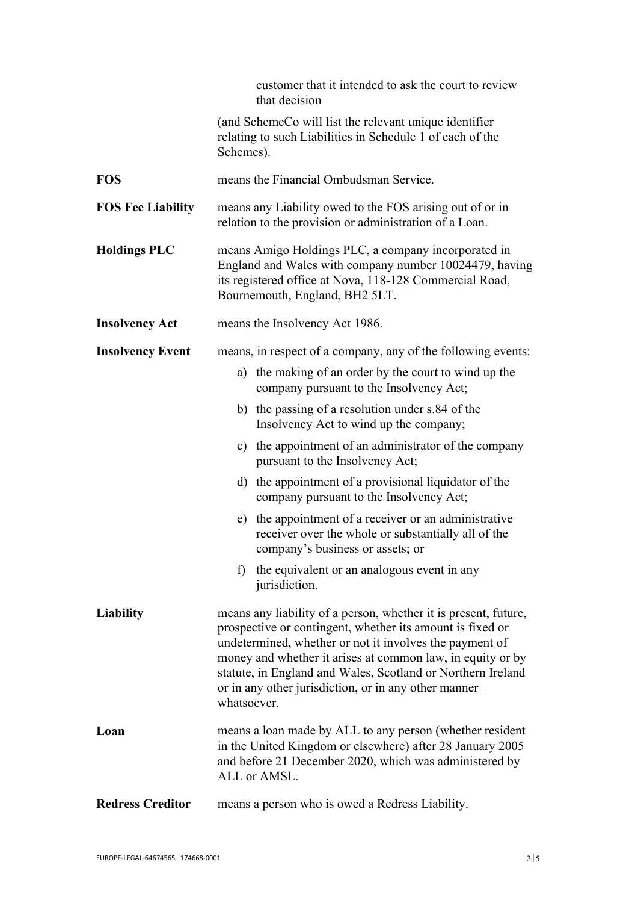|                          | customer that it intended to ask the court to review<br>that decision                                                                                                                                                                                                                                                                                                                       |
|--------------------------|---------------------------------------------------------------------------------------------------------------------------------------------------------------------------------------------------------------------------------------------------------------------------------------------------------------------------------------------------------------------------------------------|
|                          | (and SchemeCo will list the relevant unique identifier<br>relating to such Liabilities in Schedule 1 of each of the<br>Schemes).                                                                                                                                                                                                                                                            |
| <b>FOS</b>               | means the Financial Ombudsman Service.                                                                                                                                                                                                                                                                                                                                                      |
| <b>FOS Fee Liability</b> | means any Liability owed to the FOS arising out of or in<br>relation to the provision or administration of a Loan.                                                                                                                                                                                                                                                                          |
| <b>Holdings PLC</b>      | means Amigo Holdings PLC, a company incorporated in<br>England and Wales with company number 10024479, having<br>its registered office at Nova, 118-128 Commercial Road,<br>Bournemouth, England, BH2 5LT.                                                                                                                                                                                  |
| <b>Insolvency Act</b>    | means the Insolvency Act 1986.                                                                                                                                                                                                                                                                                                                                                              |
| <b>Insolvency Event</b>  | means, in respect of a company, any of the following events:                                                                                                                                                                                                                                                                                                                                |
|                          | a) the making of an order by the court to wind up the<br>company pursuant to the Insolvency Act;                                                                                                                                                                                                                                                                                            |
|                          | b) the passing of a resolution under s.84 of the<br>Insolvency Act to wind up the company;                                                                                                                                                                                                                                                                                                  |
|                          | c) the appointment of an administrator of the company<br>pursuant to the Insolvency Act;                                                                                                                                                                                                                                                                                                    |
|                          | d) the appointment of a provisional liquidator of the<br>company pursuant to the Insolvency Act;                                                                                                                                                                                                                                                                                            |
|                          | e) the appointment of a receiver or an administrative<br>receiver over the whole or substantially all of the<br>company's business or assets; or                                                                                                                                                                                                                                            |
|                          | f) the equivalent or an analogous event in any<br>jurisdiction.                                                                                                                                                                                                                                                                                                                             |
| Liability                | means any liability of a person, whether it is present, future,<br>prospective or contingent, whether its amount is fixed or<br>undetermined, whether or not it involves the payment of<br>money and whether it arises at common law, in equity or by<br>statute, in England and Wales, Scotland or Northern Ireland<br>or in any other jurisdiction, or in any other manner<br>whatsoever. |
| Loan                     | means a loan made by ALL to any person (whether resident<br>in the United Kingdom or elsewhere) after 28 January 2005<br>and before 21 December 2020, which was administered by<br>ALL or AMSL.                                                                                                                                                                                             |
| <b>Redress Creditor</b>  | means a person who is owed a Redress Liability.                                                                                                                                                                                                                                                                                                                                             |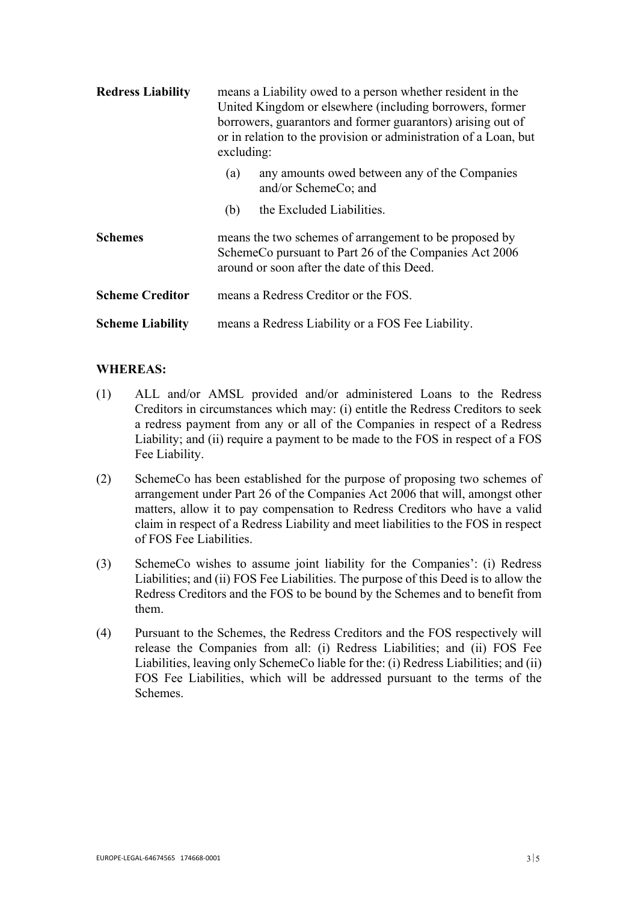| <b>Redress Liability</b> | means a Liability owed to a person whether resident in the<br>United Kingdom or elsewhere (including borrowers, former<br>borrowers, guarantors and former guarantors) arising out of<br>or in relation to the provision or administration of a Loan, but<br>excluding: |  |  |
|--------------------------|-------------------------------------------------------------------------------------------------------------------------------------------------------------------------------------------------------------------------------------------------------------------------|--|--|
|                          | any amounts owed between any of the Companies<br>(a)<br>and/or SchemeCo; and                                                                                                                                                                                            |  |  |
|                          | the Excluded Liabilities.<br>(b)                                                                                                                                                                                                                                        |  |  |
| <b>Schemes</b>           | means the two schemes of arrangement to be proposed by<br>SchemeCo pursuant to Part 26 of the Companies Act 2006<br>around or soon after the date of this Deed.                                                                                                         |  |  |
| <b>Scheme Creditor</b>   | means a Redress Creditor or the FOS.                                                                                                                                                                                                                                    |  |  |
| <b>Scheme Liability</b>  | means a Redress Liability or a FOS Fee Liability.                                                                                                                                                                                                                       |  |  |

### WHEREAS:

- (1) ALL and/or AMSL provided and/or administered Loans to the Redress Creditors in circumstances which may: (i) entitle the Redress Creditors to seek a redress payment from any or all of the Companies in respect of a Redress Liability; and (ii) require a payment to be made to the FOS in respect of a FOS Fee Liability.
- (2) SchemeCo has been established for the purpose of proposing two schemes of arrangement under Part 26 of the Companies Act 2006 that will, amongst other matters, allow it to pay compensation to Redress Creditors who have a valid claim in respect of a Redress Liability and meet liabilities to the FOS in respect of FOS Fee Liabilities.
- (3) SchemeCo wishes to assume joint liability for the Companies': (i) Redress Liabilities; and (ii) FOS Fee Liabilities. The purpose of this Deed is to allow the Redress Creditors and the FOS to be bound by the Schemes and to benefit from them.
- (4) Pursuant to the Schemes, the Redress Creditors and the FOS respectively will release the Companies from all: (i) Redress Liabilities; and (ii) FOS Fee Liabilities, leaving only SchemeCo liable for the: (i) Redress Liabilities; and (ii) FOS Fee Liabilities, which will be addressed pursuant to the terms of the Schemes.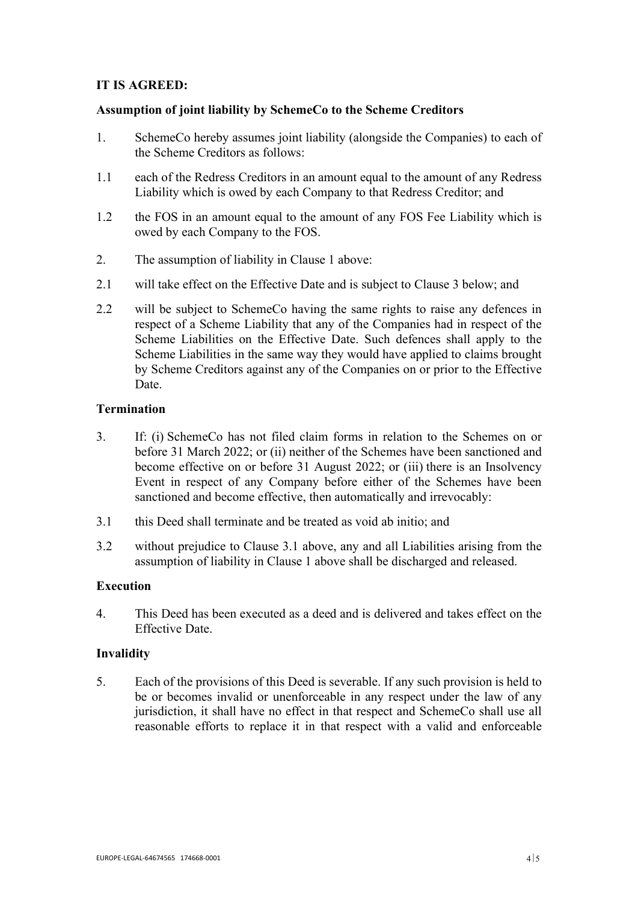## IT IS AGREED:

## Assumption of joint liability by SchemeCo to the Scheme Creditors

- 1. SchemeCo hereby assumes joint liability (alongside the Companies) to each of the Scheme Creditors as follows:
- 1.1 each of the Redress Creditors in an amount equal to the amount of any Redress Liability which is owed by each Company to that Redress Creditor; and
- 1.2 the FOS in an amount equal to the amount of any FOS Fee Liability which is owed by each Company to the FOS.
- 2. The assumption of liability in Clause 1 above:
- 2.1 will take effect on the Effective Date and is subject to Clause 3 below; and
- 2.2 will be subject to SchemeCo having the same rights to raise any defences in respect of a Scheme Liability that any of the Companies had in respect of the Scheme Liabilities on the Effective Date. Such defences shall apply to the Scheme Liabilities in the same way they would have applied to claims brought by Scheme Creditors against any of the Companies on or prior to the Effective Date.

## **Termination**

- 3. If: (i) SchemeCo has not filed claim forms in relation to the Schemes on or before 31 March 2022; or (ii) neither of the Schemes have been sanctioned and become effective on or before 31 August 2022; or (iii) there is an Insolvency Event in respect of any Company before either of the Schemes have been sanctioned and become effective, then automatically and irrevocably:
- 3.1 this Deed shall terminate and be treated as void ab initio; and
- 3.2 without prejudice to Clause 3.1 above, any and all Liabilities arising from the assumption of liability in Clause 1 above shall be discharged and released.

### Execution

4. This Deed has been executed as a deed and is delivered and takes effect on the Effective Date.

### Invalidity

5. Each of the provisions of this Deed is severable. If any such provision is held to be or becomes invalid or unenforceable in any respect under the law of any jurisdiction, it shall have no effect in that respect and SchemeCo shall use all reasonable efforts to replace it in that respect with a valid and enforceable